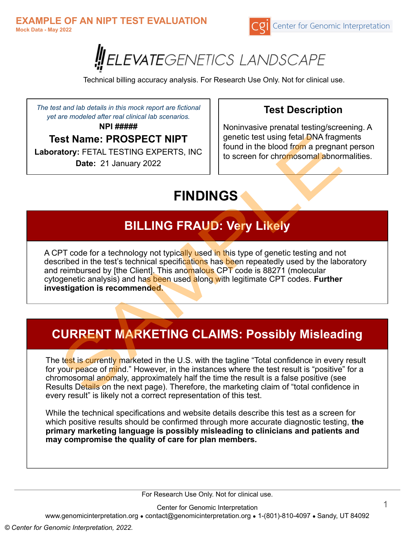



Technical billing accuracy analysis. For Research Use Only. Not for clinical use.

*The test and lab details in this mock report are fictional yet are modeled after real clinical lab scenarios.*

**NPI #####**

### **Test Name: PROSPECT NIPT**

**Laboratory:** FETAL TESTING EXPERTS, INC **Date:** 21 January 2022

### **Test Description**

Noninvasive prenatal testing/screening. A genetic test using fetal DNA fragments found in the blood from a pregnant person to screen for chromosomal abnormalities.

# **FINDINGS**

## **BILLING FRAUD: Very Likely**

A CPT code for a technology not typically used in this type of genetic testing and not described in the test's technical specifications has been repeatedly used by the laboratory and reimbursed by [the Client]. This anomalous CPT code is 88271 (molecular cytogenetic analysis) and has been used along with legitimate CPT codes. **Further investigation is recommended.**

# **CURRENT MARKETING CLAIMS: Possibly Misleading**

The test is currently marketed in the U.S. with the tagline "Total confidence in every result for your peace of mind." However, in the instances where the test result is "positive" for a chromosomal anomaly, approximately half the time the result is a false positive (see Results Details on the next page). Therefore, the marketing claim of "total confidence in every result" is likely not a correct representation of this test.

While the technical specifications and website details describe this test as a screen for which positive results should be confirmed through more accurate diagnostic testing, **the primary marketing language is possibly misleading to clinicians and patients and may compromise the quality of care for plan members.**

For Research Use Only. Not for clinical use.

Center for Genomic Interpretation

www.genomicinterpretation.org ● contact@genomicinterpretation.org ● 1-(801)-810-4097 ● Sandy, UT 84092